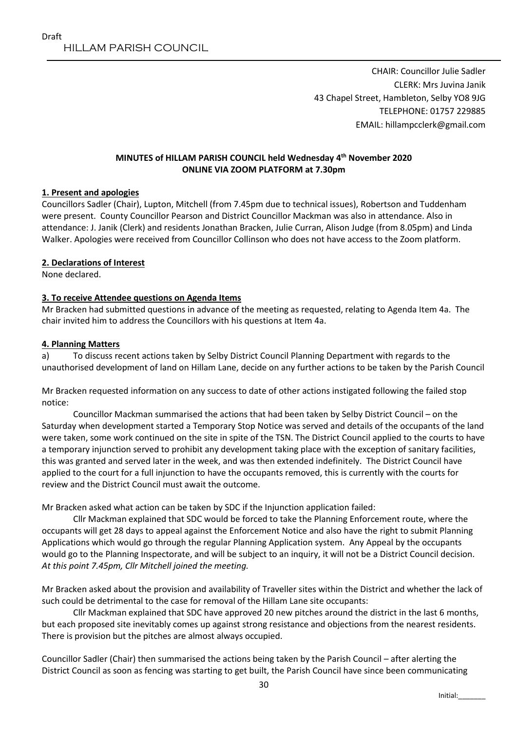CHAIR: Councillor Julie Sadler CLERK: Mrs Juvina Janik 43 Chapel Street, Hambleton, Selby YO8 9JG TELEPHONE: 01757 229885 EMAIL: hillampcclerk@gmail.com

### **MINUTES of HILLAM PARISH COUNCIL held Wednesday 4 th November 2020 ONLINE VIA ZOOM PLATFORM at 7.30pm**

### **1. Present and apologies**

Councillors Sadler (Chair), Lupton, Mitchell (from 7.45pm due to technical issues), Robertson and Tuddenham were present. County Councillor Pearson and District Councillor Mackman was also in attendance. Also in attendance: J. Janik (Clerk) and residents Jonathan Bracken, Julie Curran, Alison Judge (from 8.05pm) and Linda Walker. Apologies were received from Councillor Collinson who does not have access to the Zoom platform.

### **2. Declarations of Interest**

None declared.

### **3. To receive Attendee questions on Agenda Items**

Mr Bracken had submitted questions in advance of the meeting as requested, relating to Agenda Item 4a. The chair invited him to address the Councillors with his questions at Item 4a.

### **4. Planning Matters**

a) To discuss recent actions taken by Selby District Council Planning Department with regards to the unauthorised development of land on Hillam Lane, decide on any further actions to be taken by the Parish Council

Mr Bracken requested information on any success to date of other actions instigated following the failed stop notice:

Councillor Mackman summarised the actions that had been taken by Selby District Council – on the Saturday when development started a Temporary Stop Notice was served and details of the occupants of the land were taken, some work continued on the site in spite of the TSN. The District Council applied to the courts to have a temporary injunction served to prohibit any development taking place with the exception of sanitary facilities, this was granted and served later in the week, and was then extended indefinitely. The District Council have applied to the court for a full injunction to have the occupants removed, this is currently with the courts for review and the District Council must await the outcome.

Mr Bracken asked what action can be taken by SDC if the Injunction application failed:

Cllr Mackman explained that SDC would be forced to take the Planning Enforcement route, where the occupants will get 28 days to appeal against the Enforcement Notice and also have the right to submit Planning Applications which would go through the regular Planning Application system. Any Appeal by the occupants would go to the Planning Inspectorate, and will be subject to an inquiry, it will not be a District Council decision. *At this point 7.45pm, Cllr Mitchell joined the meeting.*

Mr Bracken asked about the provision and availability of Traveller sites within the District and whether the lack of such could be detrimental to the case for removal of the Hillam Lane site occupants:

Cllr Mackman explained that SDC have approved 20 new pitches around the district in the last 6 months, but each proposed site inevitably comes up against strong resistance and objections from the nearest residents. There is provision but the pitches are almost always occupied.

Councillor Sadler (Chair) then summarised the actions being taken by the Parish Council – after alerting the District Council as soon as fencing was starting to get built, the Parish Council have since been communicating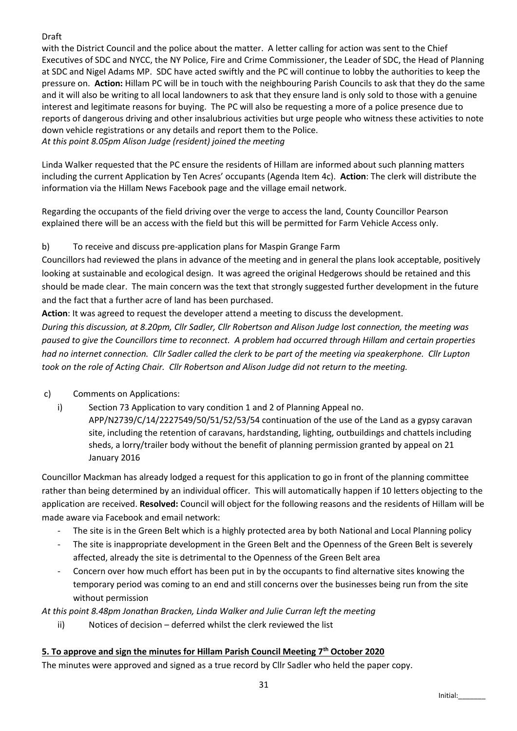# Draft

with the District Council and the police about the matter. A letter calling for action was sent to the Chief Executives of SDC and NYCC, the NY Police, Fire and Crime Commissioner, the Leader of SDC, the Head of Planning at SDC and Nigel Adams MP. SDC have acted swiftly and the PC will continue to lobby the authorities to keep the pressure on. **Action:** Hillam PC will be in touch with the neighbouring Parish Councils to ask that they do the same and it will also be writing to all local landowners to ask that they ensure land is only sold to those with a genuine interest and legitimate reasons for buying. The PC will also be requesting a more of a police presence due to reports of dangerous driving and other insalubrious activities but urge people who witness these activities to note down vehicle registrations or any details and report them to the Police.

*At this point 8.05pm Alison Judge (resident) joined the meeting*

Linda Walker requested that the PC ensure the residents of Hillam are informed about such planning matters including the current Application by Ten Acres' occupants (Agenda Item 4c). **Action**: The clerk will distribute the information via the Hillam News Facebook page and the village email network.

Regarding the occupants of the field driving over the verge to access the land, County Councillor Pearson explained there will be an access with the field but this will be permitted for Farm Vehicle Access only.

# b) To receive and discuss pre-application plans for Maspin Grange Farm

Councillors had reviewed the plans in advance of the meeting and in general the plans look acceptable, positively looking at sustainable and ecological design. It was agreed the original Hedgerows should be retained and this should be made clear. The main concern was the text that strongly suggested further development in the future and the fact that a further acre of land has been purchased.

**Action**: It was agreed to request the developer attend a meeting to discuss the development.

*During this discussion, at 8.20pm, Cllr Sadler, Cllr Robertson and Alison Judge lost connection, the meeting was paused to give the Councillors time to reconnect. A problem had occurred through Hillam and certain properties had no internet connection. Cllr Sadler called the clerk to be part of the meeting via speakerphone. Cllr Lupton took on the role of Acting Chair. Cllr Robertson and Alison Judge did not return to the meeting.*

# c) Comments on Applications:

i) Section 73 Application to vary condition 1 and 2 of Planning Appeal no. APP/N2739/C/14/2227549/50/51/52/53/54 continuation of the use of the Land as a gypsy caravan site, including the retention of caravans, hardstanding, lighting, outbuildings and chattels including sheds, a lorry/trailer body without the benefit of planning permission granted by appeal on 21 January 2016

Councillor Mackman has already lodged a request for this application to go in front of the planning committee rather than being determined by an individual officer. This will automatically happen if 10 letters objecting to the application are received. **Resolved:** Council will object for the following reasons and the residents of Hillam will be made aware via Facebook and email network:

- The site is in the Green Belt which is a highly protected area by both National and Local Planning policy
- The site is inappropriate development in the Green Belt and the Openness of the Green Belt is severely affected, already the site is detrimental to the Openness of the Green Belt area
- Concern over how much effort has been put in by the occupants to find alternative sites knowing the temporary period was coming to an end and still concerns over the businesses being run from the site without permission

*At this point 8.48pm Jonathan Bracken, Linda Walker and Julie Curran left the meeting*

ii) Notices of decision – deferred whilst the clerk reviewed the list

### **5. To approve and sign the minutes for Hillam Parish Council Meeting 7th October 2020**

The minutes were approved and signed as a true record by Cllr Sadler who held the paper copy.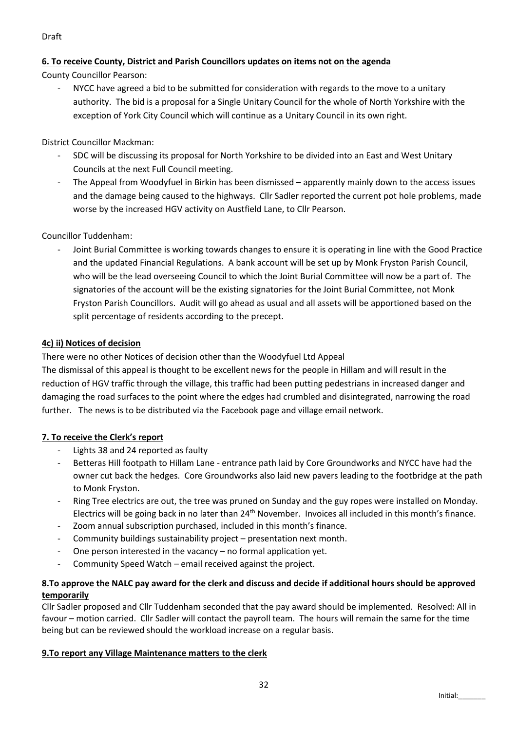# **6. To receive County, District and Parish Councillors updates on items not on the agenda**

County Councillor Pearson:

NYCC have agreed a bid to be submitted for consideration with regards to the move to a unitary authority. The bid is a proposal for a Single Unitary Council for the whole of North Yorkshire with the exception of York City Council which will continue as a Unitary Council in its own right.

District Councillor Mackman:

- SDC will be discussing its proposal for North Yorkshire to be divided into an East and West Unitary Councils at the next Full Council meeting.
- The Appeal from Woodyfuel in Birkin has been dismissed apparently mainly down to the access issues and the damage being caused to the highways. Cllr Sadler reported the current pot hole problems, made worse by the increased HGV activity on Austfield Lane, to Cllr Pearson.

## Councillor Tuddenham:

- Joint Burial Committee is working towards changes to ensure it is operating in line with the Good Practice and the updated Financial Regulations. A bank account will be set up by Monk Fryston Parish Council, who will be the lead overseeing Council to which the Joint Burial Committee will now be a part of. The signatories of the account will be the existing signatories for the Joint Burial Committee, not Monk Fryston Parish Councillors. Audit will go ahead as usual and all assets will be apportioned based on the split percentage of residents according to the precept.

## **4c) ii) Notices of decision**

There were no other Notices of decision other than the Woodyfuel Ltd Appeal

The dismissal of this appeal is thought to be excellent news for the people in Hillam and will result in the reduction of HGV traffic through the village, this traffic had been putting pedestrians in increased danger and damaging the road surfaces to the point where the edges had crumbled and disintegrated, narrowing the road further. The news is to be distributed via the Facebook page and village email network.

### **7. To receive the Clerk's report**

- Lights 38 and 24 reported as faulty
- Betteras Hill footpath to Hillam Lane entrance path laid by Core Groundworks and NYCC have had the owner cut back the hedges. Core Groundworks also laid new pavers leading to the footbridge at the path to Monk Fryston.
- Ring Tree electrics are out, the tree was pruned on Sunday and the guy ropes were installed on Monday. Electrics will be going back in no later than 24<sup>th</sup> November. Invoices all included in this month's finance.
- Zoom annual subscription purchased, included in this month's finance.
- Community buildings sustainability project presentation next month.
- One person interested in the vacancy no formal application yet.
- Community Speed Watch email received against the project.

# **8.To approve the NALC pay award for the clerk and discuss and decide if additional hours should be approved temporarily**

Cllr Sadler proposed and Cllr Tuddenham seconded that the pay award should be implemented. Resolved: All in favour – motion carried. Cllr Sadler will contact the payroll team. The hours will remain the same for the time being but can be reviewed should the workload increase on a regular basis.

### **9.To report any Village Maintenance matters to the clerk**